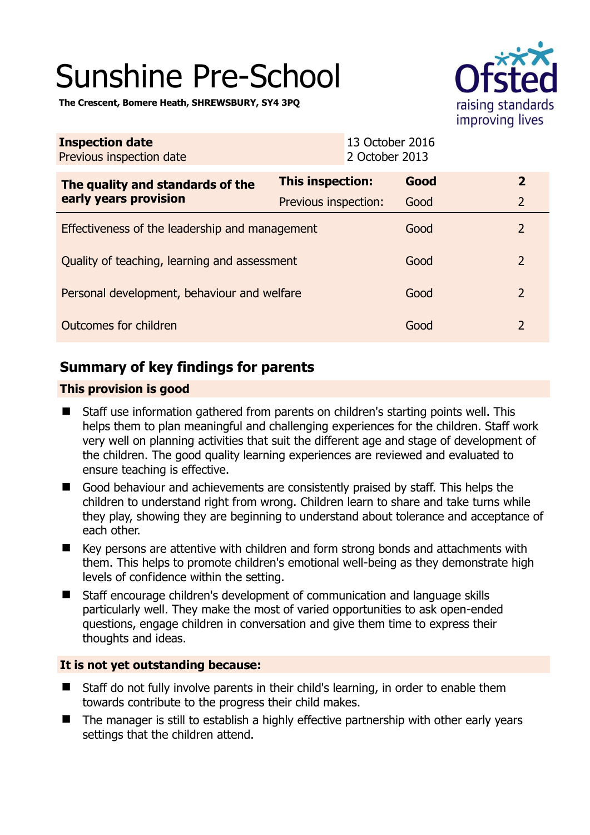# Sunshine Pre-School



**The Crescent, Bomere Heath, SHREWSBURY, SY4 3PQ** 

| <b>Inspection date</b><br>Previous inspection date        |                             | 13 October 2016<br>2 October 2013 |                |
|-----------------------------------------------------------|-----------------------------|-----------------------------------|----------------|
| The quality and standards of the<br>early years provision | This inspection:            | Good                              | $\overline{2}$ |
|                                                           | <b>Previous inspection:</b> | Good                              | $\overline{2}$ |
| Effectiveness of the leadership and management            |                             | Good                              | $\overline{2}$ |
| Quality of teaching, learning and assessment              |                             | Good                              | $\overline{2}$ |
| Personal development, behaviour and welfare               |                             | Good                              | 2              |
| Outcomes for children                                     |                             | Good                              | 2              |

# **Summary of key findings for parents**

# **This provision is good**

- Staff use information gathered from parents on children's starting points well. This helps them to plan meaningful and challenging experiences for the children. Staff work very well on planning activities that suit the different age and stage of development of the children. The good quality learning experiences are reviewed and evaluated to ensure teaching is effective.
- Good behaviour and achievements are consistently praised by staff. This helps the children to understand right from wrong. Children learn to share and take turns while they play, showing they are beginning to understand about tolerance and acceptance of each other.
- Key persons are attentive with children and form strong bonds and attachments with them. This helps to promote children's emotional well-being as they demonstrate high levels of confidence within the setting.
- Staff encourage children's development of communication and language skills particularly well. They make the most of varied opportunities to ask open-ended questions, engage children in conversation and give them time to express their thoughts and ideas.

## **It is not yet outstanding because:**

- Staff do not fully involve parents in their child's learning, in order to enable them towards contribute to the progress their child makes.
- The manager is still to establish a highly effective partnership with other early years settings that the children attend.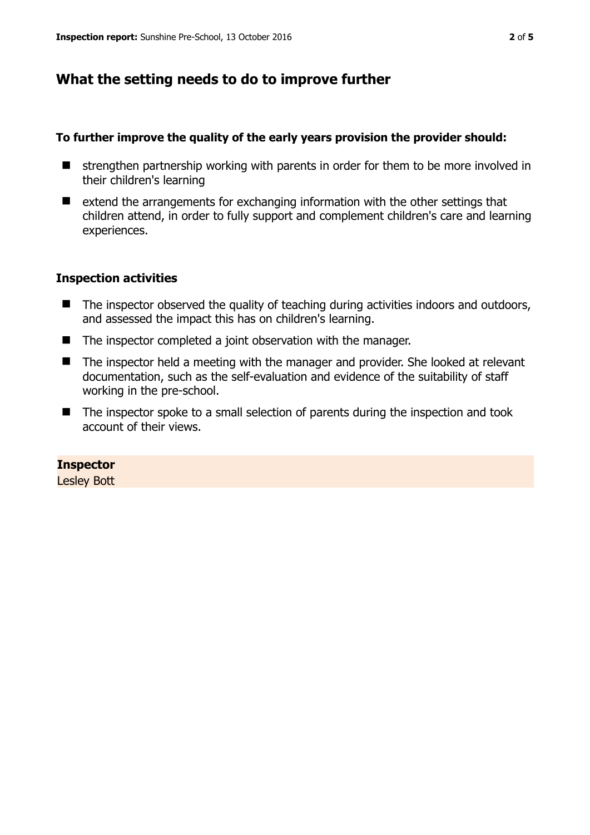# **What the setting needs to do to improve further**

### **To further improve the quality of the early years provision the provider should:**

- $\blacksquare$  strengthen partnership working with parents in order for them to be more involved in their children's learning
- $\blacksquare$  extend the arrangements for exchanging information with the other settings that children attend, in order to fully support and complement children's care and learning experiences.

## **Inspection activities**

- The inspector observed the quality of teaching during activities indoors and outdoors, and assessed the impact this has on children's learning.
- The inspector completed a joint observation with the manager.
- The inspector held a meeting with the manager and provider. She looked at relevant documentation, such as the self-evaluation and evidence of the suitability of staff working in the pre-school.
- The inspector spoke to a small selection of parents during the inspection and took account of their views.

#### **Inspector**

Lesley Bott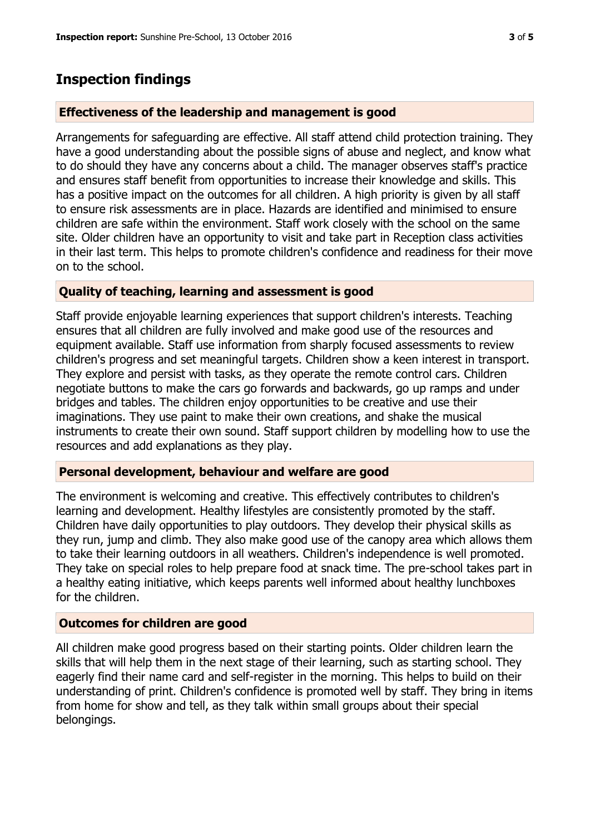# **Inspection findings**

# **Effectiveness of the leadership and management is good**

Arrangements for safeguarding are effective. All staff attend child protection training. They have a good understanding about the possible signs of abuse and neglect, and know what to do should they have any concerns about a child. The manager observes staff's practice and ensures staff benefit from opportunities to increase their knowledge and skills. This has a positive impact on the outcomes for all children. A high priority is given by all staff to ensure risk assessments are in place. Hazards are identified and minimised to ensure children are safe within the environment. Staff work closely with the school on the same site. Older children have an opportunity to visit and take part in Reception class activities in their last term. This helps to promote children's confidence and readiness for their move on to the school.

# **Quality of teaching, learning and assessment is good**

Staff provide enjoyable learning experiences that support children's interests. Teaching ensures that all children are fully involved and make good use of the resources and equipment available. Staff use information from sharply focused assessments to review children's progress and set meaningful targets. Children show a keen interest in transport. They explore and persist with tasks, as they operate the remote control cars. Children negotiate buttons to make the cars go forwards and backwards, go up ramps and under bridges and tables. The children enjoy opportunities to be creative and use their imaginations. They use paint to make their own creations, and shake the musical instruments to create their own sound. Staff support children by modelling how to use the resources and add explanations as they play.

## **Personal development, behaviour and welfare are good**

The environment is welcoming and creative. This effectively contributes to children's learning and development. Healthy lifestyles are consistently promoted by the staff. Children have daily opportunities to play outdoors. They develop their physical skills as they run, jump and climb. They also make good use of the canopy area which allows them to take their learning outdoors in all weathers. Children's independence is well promoted. They take on special roles to help prepare food at snack time. The pre-school takes part in a healthy eating initiative, which keeps parents well informed about healthy lunchboxes for the children.

## **Outcomes for children are good**

All children make good progress based on their starting points. Older children learn the skills that will help them in the next stage of their learning, such as starting school. They eagerly find their name card and self-register in the morning. This helps to build on their understanding of print. Children's confidence is promoted well by staff. They bring in items from home for show and tell, as they talk within small groups about their special belongings.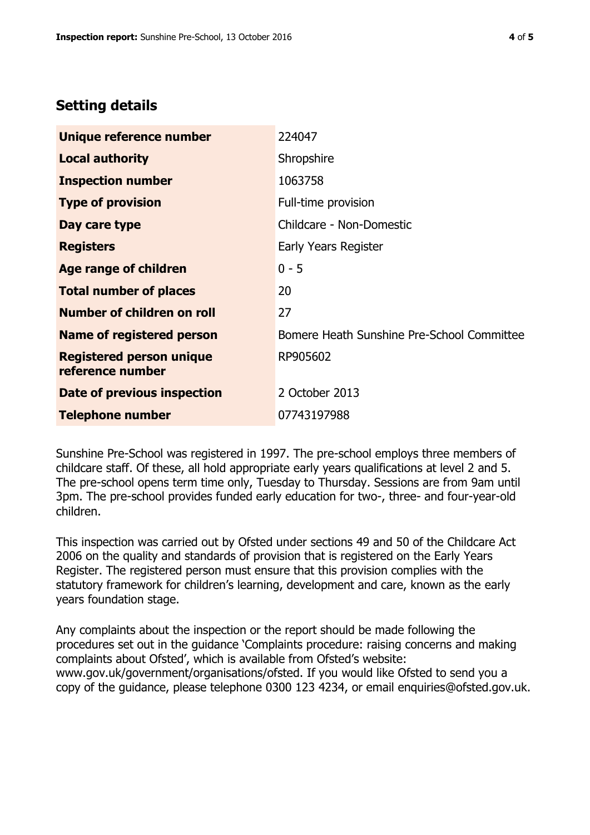# **Setting details**

| Unique reference number                             | 224047                                     |  |
|-----------------------------------------------------|--------------------------------------------|--|
| <b>Local authority</b>                              | Shropshire                                 |  |
| <b>Inspection number</b>                            | 1063758                                    |  |
| <b>Type of provision</b>                            | Full-time provision                        |  |
| Day care type                                       | Childcare - Non-Domestic                   |  |
| <b>Registers</b>                                    | Early Years Register                       |  |
| <b>Age range of children</b>                        | $0 - 5$                                    |  |
| <b>Total number of places</b>                       | 20                                         |  |
| <b>Number of children on roll</b>                   | 27                                         |  |
| Name of registered person                           | Bomere Heath Sunshine Pre-School Committee |  |
| <b>Registered person unique</b><br>reference number | RP905602                                   |  |
| Date of previous inspection                         | 2 October 2013                             |  |
| <b>Telephone number</b>                             | 07743197988                                |  |

Sunshine Pre-School was registered in 1997. The pre-school employs three members of childcare staff. Of these, all hold appropriate early years qualifications at level 2 and 5. The pre-school opens term time only, Tuesday to Thursday. Sessions are from 9am until 3pm. The pre-school provides funded early education for two-, three- and four-year-old children.

This inspection was carried out by Ofsted under sections 49 and 50 of the Childcare Act 2006 on the quality and standards of provision that is registered on the Early Years Register. The registered person must ensure that this provision complies with the statutory framework for children's learning, development and care, known as the early years foundation stage.

Any complaints about the inspection or the report should be made following the procedures set out in the guidance 'Complaints procedure: raising concerns and making complaints about Ofsted', which is available from Ofsted's website: www.gov.uk/government/organisations/ofsted. If you would like Ofsted to send you a copy of the guidance, please telephone 0300 123 4234, or email enquiries@ofsted.gov.uk.